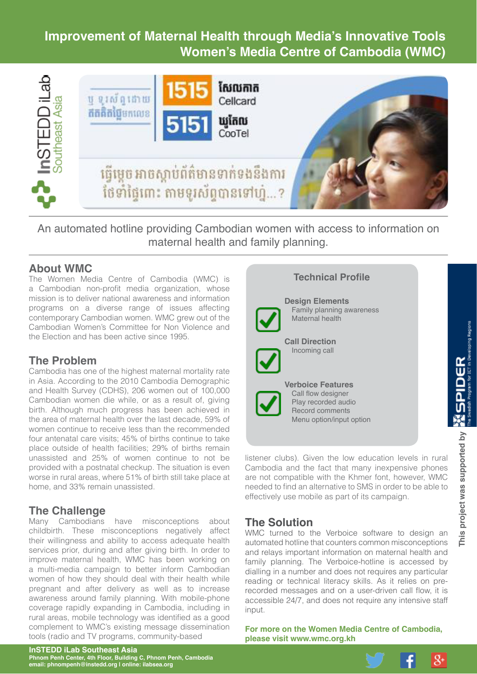# **Improvement of Maternal Health through Media's Innovative Tools Women's Media Centre of Cambodia (WMC)**



An automated hotline providing Cambodian women with access to information on maternal health and family planning.

#### **About WMC**

The Women Media Centre of Cambodia (WMC) is a Cambodian non-profit media organization, whose mission is to deliver national awareness and information programs on a diverse range of issues affecting contemporary Cambodian women. WMC grew out of the Cambodian Women's Committee for Non Violence and the Election and has been active since 1995.

# **The Problem**

Cambodia has one of the highest maternal mortality rate in Asia. According to the 2010 Cambodia Demographic and Health Survey (CDHS), 206 women out of 100,000 Cambodian women die while, or as a result of, giving birth. Although much progress has been achieved in the area of maternal health over the last decade, 59% of women continue to receive less than the recommended four antenatal care visits; 45% of births continue to take place outside of health facilities; 29% of births remain unassisted and 25% of women continue to not be provided with a postnatal checkup. The situation is even worse in rural areas, where 51% of birth still take place at home, and 33% remain unassisted.

# **The Challenge**<br>Many Cambodians

have misconceptions about childbirth. These misconceptions negatively affect their willingness and ability to access adequate health services prior, during and after giving birth. In order to improve maternal health, WMC has been working on a multi-media campaign to better inform Cambodian women of how they should deal with their health while pregnant and after delivery as well as to increase awareness around family planning. With mobile-phone coverage rapidly expanding in Cambodia, including in rural areas, mobile technology was identified as a good complement to WMC's existing message dissemination tools (radio and TV programs, community-based



#### **Design Elements**

Family planning awareness Maternal health

**Call Direction** Incoming call

**Verboice Features** Call flow designer Play recorded audio Record comments Menu option/input option

listener clubs). Given the low education levels in rural Cambodia and the fact that many inexpensive phones are not compatible with the Khmer font, however, WMC needed to find an alternative to SMS in order to be able to effectively use mobile as part of its campaign.

# **The Solution**

WMC turned to the Verboice software to design an automated hotline that counters common misconceptions and relays important information on maternal health and family planning. The Verboice-hotline is accessed by dialling in a number and does not requires any particular reading or technical literacy skills. As it relies on prerecorded messages and on a user-driven call flow, it is accessible 24/7, and does not require any intensive staff input.

**For more on the Women Media Centre of Cambodia, please visit [www.wmc.org.kh](http://www.wmc.org.kh)**

 $8+$